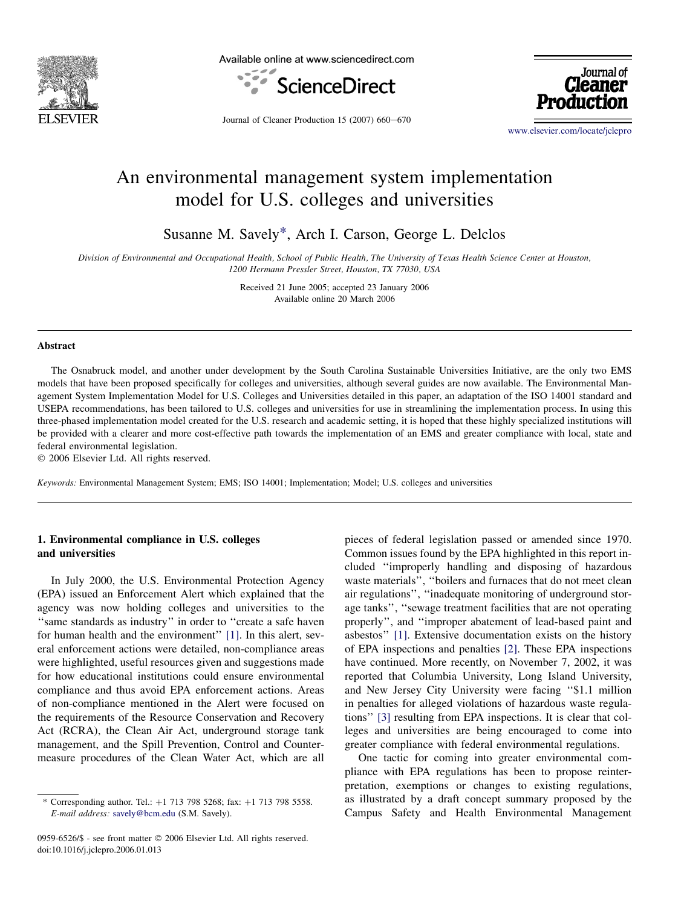

Available online at www.sciencedirect.com





Journal of Cleaner Production  $15$  (2007) 660-670

[www.elsevier.com/locate/jclepro](http://www.elsevier.com/locate/jclepro)

## An environmental management system implementation model for U.S. colleges and universities

Susanne M. Savely\*, Arch I. Carson, George L. Delclos

Division of Environmental and Occupational Health, School of Public Health, The University of Texas Health Science Center at Houston, 1200 Hermann Pressler Street, Houston, TX 77030, USA

> Received 21 June 2005; accepted 23 January 2006 Available online 20 March 2006

## Abstract

The Osnabruck model, and another under development by the South Carolina Sustainable Universities Initiative, are the only two EMS models that have been proposed specifically for colleges and universities, although several guides are now available. The Environmental Management System Implementation Model for U.S. Colleges and Universities detailed in this paper, an adaptation of the ISO 14001 standard and USEPA recommendations, has been tailored to U.S. colleges and universities for use in streamlining the implementation process. In using this three-phased implementation model created for the U.S. research and academic setting, it is hoped that these highly specialized institutions will be provided with a clearer and more cost-effective path towards the implementation of an EMS and greater compliance with local, state and federal environmental legislation.

© 2006 Elsevier Ltd. All rights reserved.

Keywords: Environmental Management System; EMS; ISO 14001; Implementation; Model; U.S. colleges and universities

## 1. Environmental compliance in U.S. colleges and universities

In July 2000, the U.S. Environmental Protection Agency (EPA) issued an Enforcement Alert which explained that the agency was now holding colleges and universities to the "same standards as industry" in order to "create a safe haven for human health and the environment'' [\[1\]](#page--1-0). In this alert, several enforcement actions were detailed, non-compliance areas were highlighted, useful resources given and suggestions made for how educational institutions could ensure environmental compliance and thus avoid EPA enforcement actions. Areas of non-compliance mentioned in the Alert were focused on the requirements of the Resource Conservation and Recovery Act (RCRA), the Clean Air Act, underground storage tank management, and the Spill Prevention, Control and Countermeasure procedures of the Clean Water Act, which are all

0959-6526/\$ - see front matter © 2006 Elsevier Ltd. All rights reserved. doi:10.1016/j.jclepro.2006.01.013

pieces of federal legislation passed or amended since 1970. Common issues found by the EPA highlighted in this report included ''improperly handling and disposing of hazardous waste materials'', ''boilers and furnaces that do not meet clean air regulations'', ''inadequate monitoring of underground storage tanks'', ''sewage treatment facilities that are not operating properly'', and ''improper abatement of lead-based paint and asbestos'' [\[1\]](#page--1-0). Extensive documentation exists on the history of EPA inspections and penalties [\[2\].](#page--1-0) These EPA inspections have continued. More recently, on November 7, 2002, it was reported that Columbia University, Long Island University, and New Jersey City University were facing ''\$1.1 million in penalties for alleged violations of hazardous waste regulations'' [\[3\]](#page--1-0) resulting from EPA inspections. It is clear that colleges and universities are being encouraged to come into greater compliance with federal environmental regulations.

One tactic for coming into greater environmental compliance with EPA regulations has been to propose reinterpretation, exemptions or changes to existing regulations, as illustrated by a draft concept summary proposed by the Campus Safety and Health Environmental Management

<sup>\*</sup> Corresponding author. Tel.:  $+1$  713 798 5268; fax:  $+1$  713 798 5558. E-mail address: [savely@bcm.edu](mailto:savely@bcm.edu) (S.M. Savely).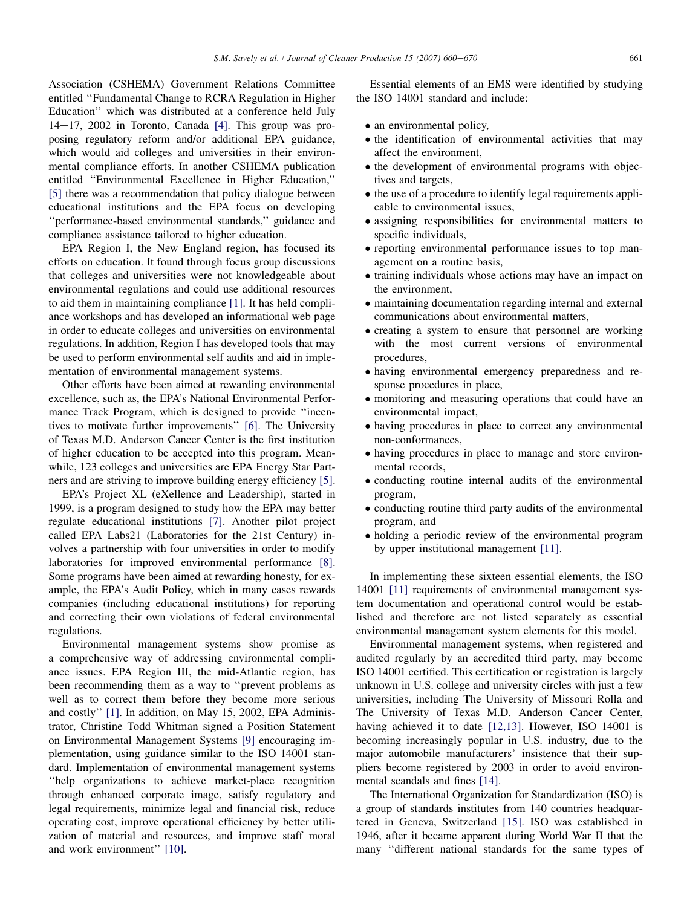Association (CSHEMA) Government Relations Committee entitled ''Fundamental Change to RCRA Regulation in Higher Education'' which was distributed at a conference held July  $14-17$ , 2002 in Toronto, Canada [\[4\]](#page--1-0). This group was proposing regulatory reform and/or additional EPA guidance, which would aid colleges and universities in their environmental compliance efforts. In another CSHEMA publication entitled ''Environmental Excellence in Higher Education,'' [\[5\]](#page--1-0) there was a recommendation that policy dialogue between educational institutions and the EPA focus on developing ''performance-based environmental standards,'' guidance and compliance assistance tailored to higher education.

EPA Region I, the New England region, has focused its efforts on education. It found through focus group discussions that colleges and universities were not knowledgeable about environmental regulations and could use additional resources to aid them in maintaining compliance [\[1\]](#page--1-0). It has held compliance workshops and has developed an informational web page in order to educate colleges and universities on environmental regulations. In addition, Region I has developed tools that may be used to perform environmental self audits and aid in implementation of environmental management systems.

Other efforts have been aimed at rewarding environmental excellence, such as, the EPA's National Environmental Performance Track Program, which is designed to provide ''incentives to motivate further improvements'' [\[6\].](#page--1-0) The University of Texas M.D. Anderson Cancer Center is the first institution of higher education to be accepted into this program. Meanwhile, 123 colleges and universities are EPA Energy Star Partners and are striving to improve building energy efficiency [\[5\]](#page--1-0).

EPA's Project XL (eXellence and Leadership), started in 1999, is a program designed to study how the EPA may better regulate educational institutions [\[7\].](#page--1-0) Another pilot project called EPA Labs21 (Laboratories for the 21st Century) involves a partnership with four universities in order to modify laboratories for improved environmental performance [\[8\]](#page--1-0). Some programs have been aimed at rewarding honesty, for example, the EPA's Audit Policy, which in many cases rewards companies (including educational institutions) for reporting and correcting their own violations of federal environmental regulations.

Environmental management systems show promise as a comprehensive way of addressing environmental compliance issues. EPA Region III, the mid-Atlantic region, has been recommending them as a way to ''prevent problems as well as to correct them before they become more serious and costly'' [\[1\]](#page--1-0). In addition, on May 15, 2002, EPA Administrator, Christine Todd Whitman signed a Position Statement on Environmental Management Systems [\[9\]](#page--1-0) encouraging implementation, using guidance similar to the ISO 14001 standard. Implementation of environmental management systems ''help organizations to achieve market-place recognition through enhanced corporate image, satisfy regulatory and legal requirements, minimize legal and financial risk, reduce operating cost, improve operational efficiency by better utilization of material and resources, and improve staff moral and work environment'' [\[10\].](#page--1-0)

Essential elements of an EMS were identified by studying the ISO 14001 standard and include:

- an environmental policy,
- the identification of environmental activities that may affect the environment,
- the development of environmental programs with objectives and targets,
- the use of a procedure to identify legal requirements applicable to environmental issues,
- assigning responsibilities for environmental matters to specific individuals,
- reporting environmental performance issues to top management on a routine basis,
- training individuals whose actions may have an impact on the environment,
- maintaining documentation regarding internal and external communications about environmental matters,
- creating a system to ensure that personnel are working with the most current versions of environmental procedures,
- having environmental emergency preparedness and response procedures in place,
- monitoring and measuring operations that could have an environmental impact,
- having procedures in place to correct any environmental non-conformances,
- having procedures in place to manage and store environmental records,
- conducting routine internal audits of the environmental program,
- conducting routine third party audits of the environmental program, and
- holding a periodic review of the environmental program by upper institutional management [\[11\]](#page--1-0).

In implementing these sixteen essential elements, the ISO 14001 [\[11\]](#page--1-0) requirements of environmental management system documentation and operational control would be established and therefore are not listed separately as essential environmental management system elements for this model.

Environmental management systems, when registered and audited regularly by an accredited third party, may become ISO 14001 certified. This certification or registration is largely unknown in U.S. college and university circles with just a few universities, including The University of Missouri Rolla and The University of Texas M.D. Anderson Cancer Center, having achieved it to date [\[12,13\].](#page--1-0) However, ISO 14001 is becoming increasingly popular in U.S. industry, due to the major automobile manufacturers' insistence that their suppliers become registered by 2003 in order to avoid environmental scandals and fines [\[14\].](#page--1-0)

The International Organization for Standardization (ISO) is a group of standards institutes from 140 countries headquartered in Geneva, Switzerland [\[15\]](#page--1-0). ISO was established in 1946, after it became apparent during World War II that the many ''different national standards for the same types of